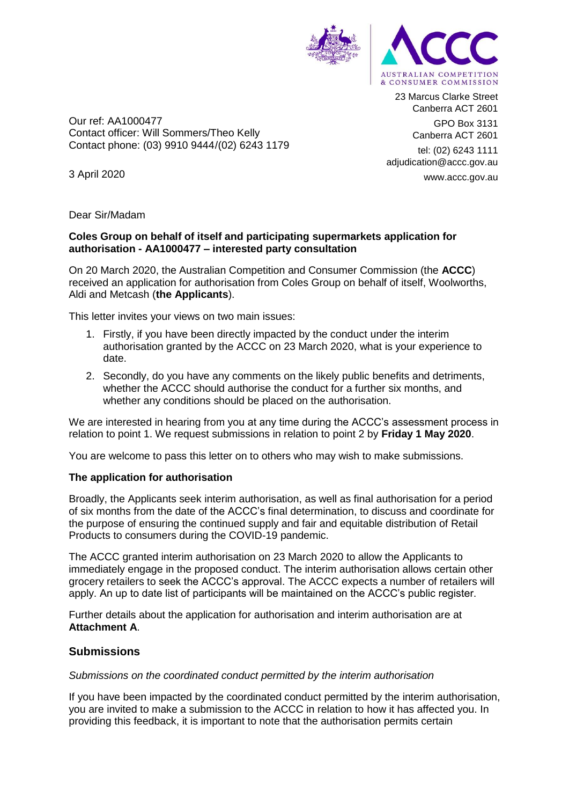

23 Marcus Clarke Street Canberra ACT 2601 GPO Box 3131

Canberra ACT 2601

tel: (02) 6243 1111 adjudication@accc.gov.au www.accc.gov.au

3 April 2020

Dear Sir/Madam

Our ref: AA1000477

Contact officer: Will Sommers/Theo Kelly Contact phone: (03) 9910 9444/(02) 6243 1179

### **Coles Group on behalf of itself and participating supermarkets application for authorisation - AA1000477 – interested party consultation**

On 20 March 2020, the Australian Competition and Consumer Commission (the **ACCC**) received an application for authorisation from Coles Group on behalf of itself, Woolworths, Aldi and Metcash (**the Applicants**).

This letter invites your views on two main issues:

- 1. Firstly, if you have been directly impacted by the conduct under the interim authorisation granted by the ACCC on 23 March 2020, what is your experience to date.
- 2. Secondly, do you have any comments on the likely public benefits and detriments, whether the ACCC should authorise the conduct for a further six months, and whether any conditions should be placed on the authorisation.

We are interested in hearing from you at any time during the ACCC's assessment process in relation to point 1. We request submissions in relation to point 2 by **Friday 1 May 2020**.

You are welcome to pass this letter on to others who may wish to make submissions.

# **The application for authorisation**

Broadly, the Applicants seek interim authorisation, as well as final authorisation for a period of six months from the date of the ACCC's final determination, to discuss and coordinate for the purpose of ensuring the continued supply and fair and equitable distribution of Retail Products to consumers during the COVID-19 pandemic.

The ACCC granted interim authorisation on 23 March 2020 to allow the Applicants to immediately engage in the proposed conduct. The interim authorisation allows certain other grocery retailers to seek the ACCC's approval. The ACCC expects a number of retailers will apply. An up to date list of participants will be maintained on the ACCC's public register.

Further details about the application for authorisation and interim authorisation are at **Attachment A**.

# **Submissions**

#### *Submissions on the coordinated conduct permitted by the interim authorisation*

If you have been impacted by the coordinated conduct permitted by the interim authorisation, you are invited to make a submission to the ACCC in relation to how it has affected you. In providing this feedback, it is important to note that the authorisation permits certain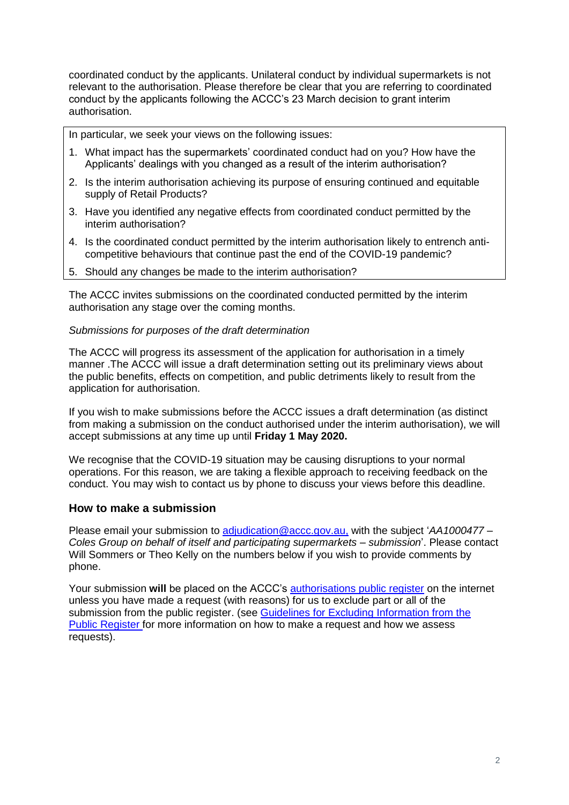coordinated conduct by the applicants. Unilateral conduct by individual supermarkets is not relevant to the authorisation. Please therefore be clear that you are referring to coordinated conduct by the applicants following the ACCC's 23 March decision to grant interim authorisation.

In particular, we seek your views on the following issues:

- 1. What impact has the supermarkets' coordinated conduct had on you? How have the Applicants' dealings with you changed as a result of the interim authorisation?
- 2. Is the interim authorisation achieving its purpose of ensuring continued and equitable supply of Retail Products?
- 3. Have you identified any negative effects from coordinated conduct permitted by the interim authorisation?
- 4. Is the coordinated conduct permitted by the interim authorisation likely to entrench anticompetitive behaviours that continue past the end of the COVID-19 pandemic?
- 5. Should any changes be made to the interim authorisation?

The ACCC invites submissions on the coordinated conducted permitted by the interim authorisation any stage over the coming months.

#### *Submissions for purposes of the draft determination*

The ACCC will progress its assessment of the application for authorisation in a timely manner .The ACCC will issue a draft determination setting out its preliminary views about the public benefits, effects on competition, and public detriments likely to result from the application for authorisation.

If you wish to make submissions before the ACCC issues a draft determination (as distinct from making a submission on the conduct authorised under the interim authorisation), we will accept submissions at any time up until **Friday 1 May 2020.** 

We recognise that the COVID-19 situation may be causing disruptions to your normal operations. For this reason, we are taking a flexible approach to receiving feedback on the conduct. You may wish to contact us by phone to discuss your views before this deadline.

#### **How to make a submission**

Please email your submission to [adjudication@accc.gov.au,](mailto:adjudication@accc.gov.au) with the subject '*AA1000477 – Coles Group on behalf of itself and participating supermarkets – submission*'. Please contact Will Sommers or Theo Kelly on the numbers below if you wish to provide comments by phone.

Your submission **will** be placed on the ACCC's [authorisations public register](https://www.accc.gov.au/public-registers/authorisations-and-notifications-registers/authorisations-register) on the internet unless you have made a request (with reasons) for us to exclude part or all of the submission from the public register. (see Guidelines for Excluding Information from the [Public Register](https://www.accc.gov.au/publications/guidelines-for-excluding-information-from-the-public-register-for-authorisation-and-notification-processes) for more information on how to make a request and how we assess requests).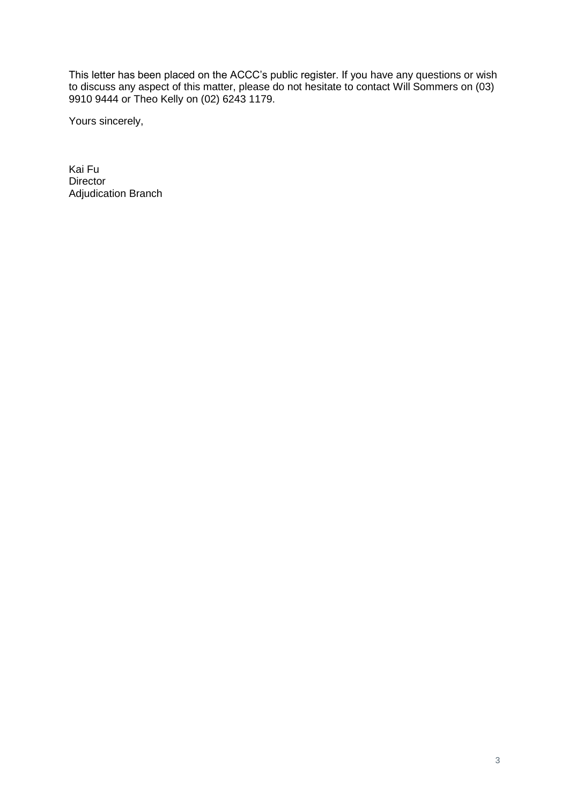This letter has been placed on the ACCC's public register. If you have any questions or wish to discuss any aspect of this matter, please do not hesitate to contact Will Sommers on (03) 9910 9444 or Theo Kelly on (02) 6243 1179.

Yours sincerely,

Kai Fu Director Adjudication Branch